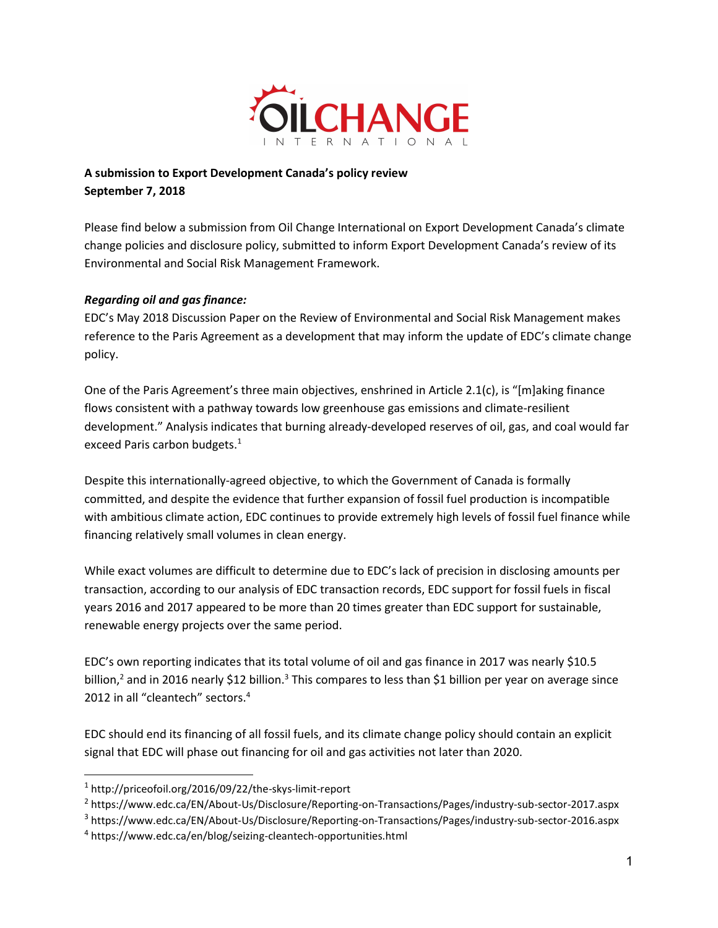

# A submission to Export Development Canada's policy review September 7, 2018

Please find below a submission from Oil Change International on Export Development Canada's climate change policies and disclosure policy, submitted to inform Export Development Canada's review of its Environmental and Social Risk Management Framework.

## Regarding oil and gas finance:

EDC's May 2018 Discussion Paper on the Review of Environmental and Social Risk Management makes reference to the Paris Agreement as a development that may inform the update of EDC's climate change policy.

One of the Paris Agreement's three main objectives, enshrined in Article 2.1(c), is "[m]aking finance flows consistent with a pathway towards low greenhouse gas emissions and climate-resilient development." Analysis indicates that burning already-developed reserves of oil, gas, and coal would far exceed Paris carbon budgets.<sup>1</sup>

Despite this internationally-agreed objective, to which the Government of Canada is formally committed, and despite the evidence that further expansion of fossil fuel production is incompatible with ambitious climate action, EDC continues to provide extremely high levels of fossil fuel finance while financing relatively small volumes in clean energy.

While exact volumes are difficult to determine due to EDC's lack of precision in disclosing amounts per transaction, according to our analysis of EDC transaction records, EDC support for fossil fuels in fiscal years 2016 and 2017 appeared to be more than 20 times greater than EDC support for sustainable, renewable energy projects over the same period.

EDC's own reporting indicates that its total volume of oil and gas finance in 2017 was nearly \$10.5 billion,<sup>2</sup> and in 2016 nearly \$12 billion.<sup>3</sup> This compares to less than \$1 billion per year on average since 2012 in all "cleantech" sectors.<sup>4</sup>

EDC should end its financing of all fossil fuels, and its climate change policy should contain an explicit signal that EDC will phase out financing for oil and gas activities not later than 2020.

<sup>1</sup> http://priceofoil.org/2016/09/22/the-skys-limit-report

<sup>&</sup>lt;sup>2</sup> https://www.edc.ca/EN/About-Us/Disclosure/Reporting-on-Transactions/Pages/industry-sub-sector-2017.aspx

<sup>&</sup>lt;sup>3</sup> https://www.edc.ca/EN/About-Us/Disclosure/Reporting-on-Transactions/Pages/industry-sub-sector-2016.aspx

<sup>&</sup>lt;sup>4</sup> https://www.edc.ca/en/blog/seizing-cleantech-opportunities.html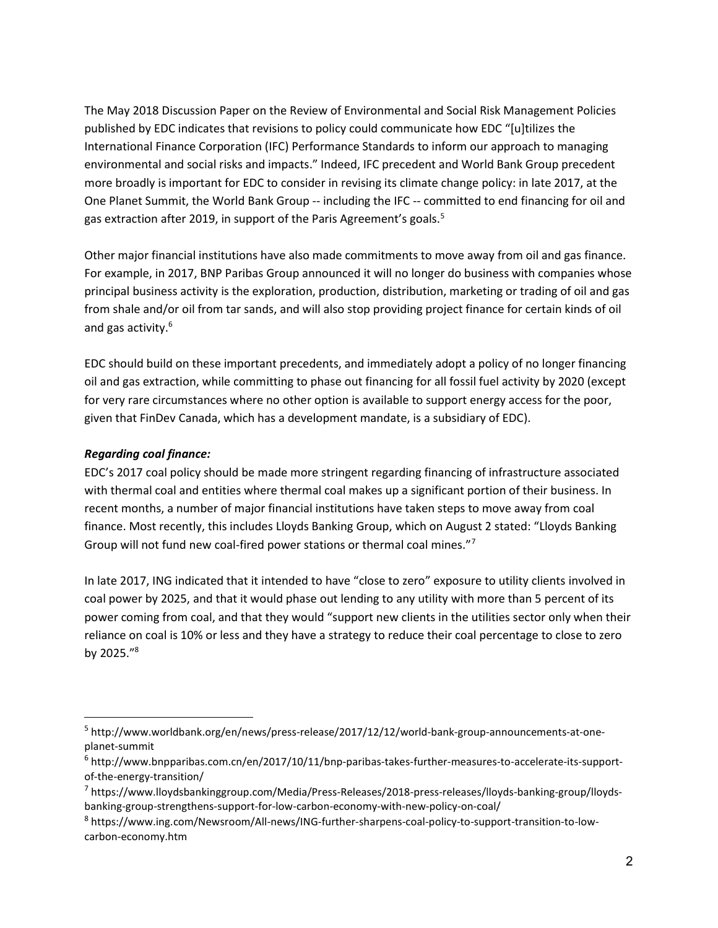The May 2018 Discussion Paper on the Review of Environmental and Social Risk Management Policies published by EDC indicates that revisions to policy could communicate how EDC "[u]tilizes the International Finance Corporation (IFC) Performance Standards to inform our approach to managing environmental and social risks and impacts." Indeed, IFC precedent and World Bank Group precedent more broadly is important for EDC to consider in revising its climate change policy: in late 2017, at the One Planet Summit, the World Bank Group -- including the IFC -- committed to end financing for oil and gas extraction after 2019, in support of the Paris Agreement's goals.<sup>5</sup>

Other major financial institutions have also made commitments to move away from oil and gas finance. For example, in 2017, BNP Paribas Group announced it will no longer do business with companies whose principal business activity is the exploration, production, distribution, marketing or trading of oil and gas from shale and/or oil from tar sands, and will also stop providing project finance for certain kinds of oil and gas activity.<sup>6</sup>

EDC should build on these important precedents, and immediately adopt a policy of no longer financing oil and gas extraction, while committing to phase out financing for all fossil fuel activity by 2020 (except for very rare circumstances where no other option is available to support energy access for the poor, given that FinDev Canada, which has a development mandate, is a subsidiary of EDC).

### Regarding coal finance:

EDC's 2017 coal policy should be made more stringent regarding financing of infrastructure associated with thermal coal and entities where thermal coal makes up a significant portion of their business. In recent months, a number of major financial institutions have taken steps to move away from coal finance. Most recently, this includes Lloyds Banking Group, which on August 2 stated: "Lloyds Banking Group will not fund new coal-fired power stations or thermal coal mines."<sup>7</sup>

In late 2017, ING indicated that it intended to have "close to zero" exposure to utility clients involved in coal power by 2025, and that it would phase out lending to any utility with more than 5 percent of its power coming from coal, and that they would "support new clients in the utilities sector only when their reliance on coal is 10% or less and they have a strategy to reduce their coal percentage to close to zero by 2025."<sup>8</sup>

<sup>&</sup>lt;sup>5</sup> http://www.worldbank.org/en/news/press-release/2017/12/12/world-bank-group-announcements-at-oneplanet-summit

<sup>6</sup> http://www.bnpparibas.com.cn/en/2017/10/11/bnp-paribas-takes-further-measures-to-accelerate-its-supportof-the-energy-transition/

<sup>&</sup>lt;sup>7</sup> https://www.lloydsbankinggroup.com/Media/Press-Releases/2018-press-releases/lloyds-banking-group/lloydsbanking-group-strengthens-support-for-low-carbon-economy-with-new-policy-on-coal/

<sup>8</sup> https://www.ing.com/Newsroom/All-news/ING-further-sharpens-coal-policy-to-support-transition-to-lowcarbon-economy.htm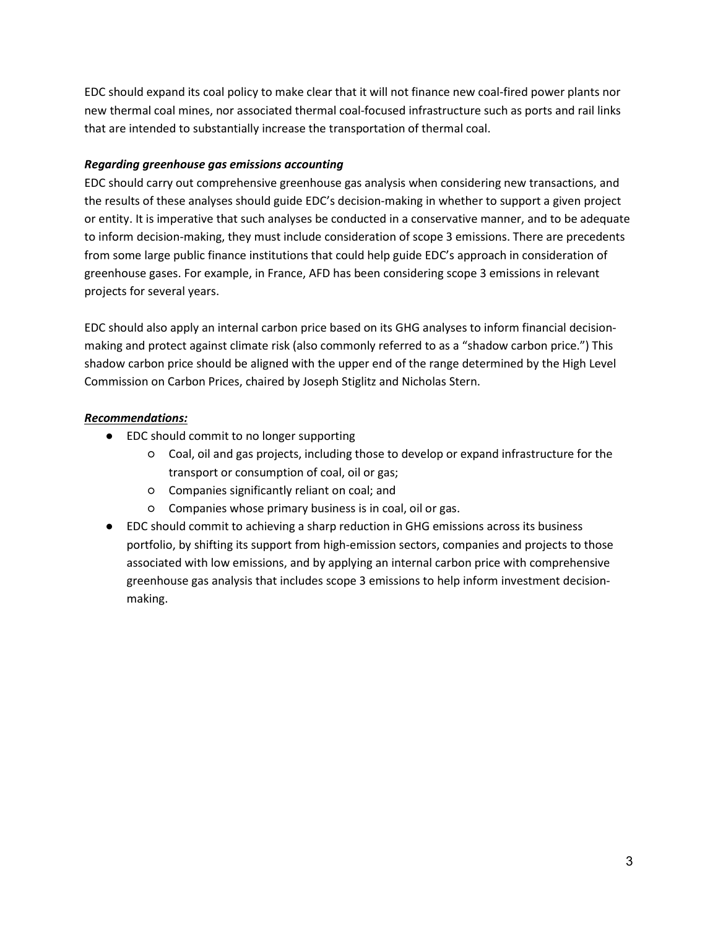EDC should expand its coal policy to make clear that it will not finance new coal-fired power plants nor new thermal coal mines, nor associated thermal coal-focused infrastructure such as ports and rail links that are intended to substantially increase the transportation of thermal coal.

## Regarding greenhouse gas emissions accounting

EDC should carry out comprehensive greenhouse gas analysis when considering new transactions, and the results of these analyses should guide EDC's decision-making in whether to support a given project or entity. It is imperative that such analyses be conducted in a conservative manner, and to be adequate to inform decision-making, they must include consideration of scope 3 emissions. There are precedents from some large public finance institutions that could help guide EDC's approach in consideration of greenhouse gases. For example, in France, AFD has been considering scope 3 emissions in relevant projects for several years.

EDC should also apply an internal carbon price based on its GHG analyses to inform financial decisionmaking and protect against climate risk (also commonly referred to as a "shadow carbon price.") This shadow carbon price should be aligned with the upper end of the range determined by the High Level Commission on Carbon Prices, chaired by Joseph Stiglitz and Nicholas Stern.

### Recommendations:

- EDC should commit to no longer supporting
	- Coal, oil and gas projects, including those to develop or expand infrastructure for the transport or consumption of coal, oil or gas;
	- Companies significantly reliant on coal; and
	- Companies whose primary business is in coal, oil or gas.
- EDC should commit to achieving a sharp reduction in GHG emissions across its business portfolio, by shifting its support from high-emission sectors, companies and projects to those associated with low emissions, and by applying an internal carbon price with comprehensive greenhouse gas analysis that includes scope 3 emissions to help inform investment decisionmaking.